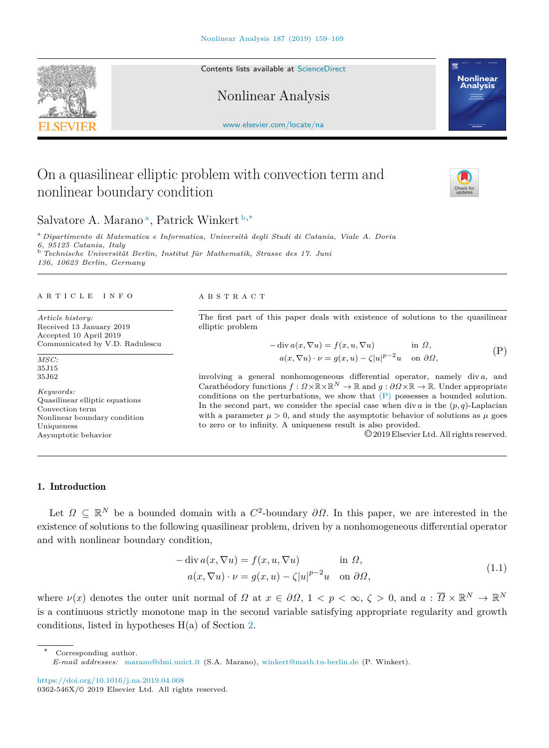Contents lists available at [ScienceDirect](http://www.elsevier.com/locate/na)

Nonlinear Analysis

[www.elsevier.com/locate/na](http://www.elsevier.com/locate/na)

# On a quasilinear elliptic problem with convection term and nonlinear boundary condition

## S[a](#page-0-0)lvatore A. Marano<sup>a</sup>, Patrick Winkert [b](#page-0-1),<sup>\*</sup>

<span id="page-0-1"></span><span id="page-0-0"></span><sup>a</sup> *Dipartimento di Matematica e Informatica, Università degli Studi di Catania, Viale A. Doria 6, 95125 Catania, Italy* <sup>b</sup> *Technische Universität Berlin, Institut für Mathematik, Strasse des 17. Juni 136, 10623 Berlin, Germany*

#### a r t i c l e i n f o

*Article history:* Received 13 January 2019 Accepted 10 April 2019 Communicated by V.D. Radulescu

*MSC:* 35J15 35J62

*Keywords:* Quasilinear elliptic equations Convection term Nonlinear boundary condition Uniqueness Asymptotic behavior

#### A B S T R A C T

The first part of this paper deals with existence of solutions to the quasilinear elliptic problem

$$
- \operatorname{div} a(x, \nabla u) = f(x, u, \nabla u) \quad \text{in } \Omega,
$$
  
\n
$$
a(x, \nabla u) \cdot \nu = g(x, u) - \zeta |u|^{p-2} u \quad \text{on } \partial \Omega,
$$
 (P)

involving a general nonhomogeneous differential operator, namely div *a*, and Carathéodory functions  $f : \Omega \times \mathbb{R} \times \mathbb{R}^N \to \mathbb{R}$  and  $q : \partial \Omega \times \mathbb{R} \to \mathbb{R}$ . Under appropriate conditions on the perturbations, we show that [\(P\)](#page-0-3) possesses a bounded solution. In the second part, we consider the special case when div  $a$  is the  $(p, q)$ -Laplacian with a parameter  $\mu > 0$ , and study the asymptotic behavior of solutions as  $\mu$  goes to zero or to infinity. A uniqueness result is also provided.

<span id="page-0-4"></span><span id="page-0-3"></span>©2019 Elsevier Ltd. All rights reserved.

#### 1. Introduction

Let  $\Omega \subseteq \mathbb{R}^N$  be a bounded domain with a  $C^2$ -boundary  $\partial\Omega$ . In this paper, we are interested in the existence of solutions to the following quasilinear problem, driven by a nonhomogeneous differential operator and with nonlinear boundary condition,

$$
-\operatorname{div} a(x, \nabla u) = f(x, u, \nabla u) \qquad \text{in } \Omega,
$$
  
\n
$$
a(x, \nabla u) \cdot \nu = g(x, u) - \zeta |u|^{p-2} u \quad \text{on } \partial \Omega,
$$
\n(1.1)

where  $\nu(x)$  denotes the outer unit normal of  $\Omega$  at  $x \in \partial\Omega$ ,  $1 < p < \infty$ ,  $\zeta > 0$ , and  $a : \overline{\Omega} \times \mathbb{R}^N \to \mathbb{R}^N$ is a continuous strictly monotone map in the second variable satisfying appropriate regularity and growth conditions, listed in hypotheses H(a) of Section [2.](#page-1-0)

<span id="page-0-2"></span>Corresponding author. *E-mail addresses:* [marano@dmi.unict.it](mailto:marano@dmi.unict.it) (S.A. Marano), [winkert@math.tu-berlin.de](mailto:winkert@math.tu-berlin.de) (P. Winkert).



**Nonlinear Analysis**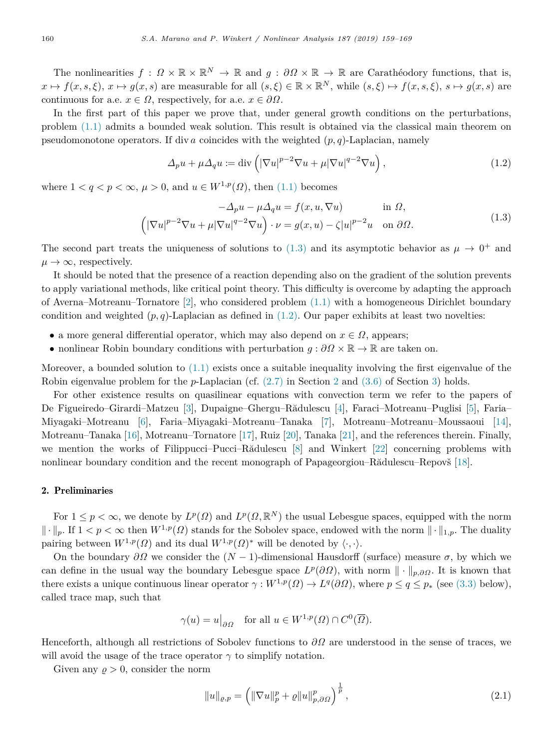The nonlinearities  $f: \Omega \times \mathbb{R} \times \mathbb{R}^N \to \mathbb{R}$  and  $g: \partial \Omega \times \mathbb{R} \to \mathbb{R}$  are Carathéodory functions, that is,  $x \mapsto f(x, s, \xi), x \mapsto g(x, s)$  are measurable for all  $(s, \xi) \in \mathbb{R} \times \mathbb{R}^N$ , while  $(s, \xi) \mapsto f(x, s, \xi), s \mapsto g(x, s)$  are continuous for a.e.  $x \in \Omega$ , respectively, for a.e.  $x \in \partial\Omega$ .

In the first part of this paper we prove that, under general growth conditions on the perturbations, problem [\(1.1\)](#page-0-4) admits a bounded weak solution. This result is obtained via the classical main theorem on pseudomonotone operators. If div *a* coincides with the weighted  $(p, q)$ -Laplacian, namely

<span id="page-1-2"></span><span id="page-1-1"></span>
$$
\Delta_p u + \mu \Delta_q u := \text{div}\left( |\nabla u|^{p-2} \nabla u + \mu |\nabla u|^{q-2} \nabla u \right),\tag{1.2}
$$

where  $1 < q < p < \infty$ ,  $\mu > 0$ , and  $u \in W^{1,p}(\Omega)$ , then ([1.1](#page-0-4)) becomes

$$
-\Delta_p u - \mu \Delta_q u = f(x, u, \nabla u) \quad \text{in } \Omega,
$$
  

$$
\left( |\nabla u|^{p-2} \nabla u + \mu |\nabla u|^{q-2} \nabla u \right) \cdot \nu = g(x, u) - \zeta |u|^{p-2} u \quad \text{on } \partial \Omega.
$$
 (1.3)

The second part treats the uniqueness of solutions to  $(1.3)$  $(1.3)$  $(1.3)$  and its asymptotic behavior as  $\mu \to 0^+$  and  $\mu \to \infty$ , respectively.

It should be noted that the presence of a reaction depending also on the gradient of the solution prevents to apply variational methods, like critical point theory. This difficulty is overcome by adapting the approach of Averna–Motreanu–Tornatore [\[2](#page-10-0)], who considered problem ([1.1](#page-0-4)) with a homogeneous Dirichlet boundary condition and weighted  $(p, q)$ -Laplacian as defined in  $(1.2)$  $(1.2)$  $(1.2)$ . Our paper exhibits at least two novelties:

- a more general differential operator, which may also depend on  $x \in \Omega$ , appears;
- nonlinear Robin boundary conditions with perturbation  $g : \partial \Omega \times \mathbb{R} \to \mathbb{R}$  are taken on.

Moreover, a bounded solution to  $(1.1)$  $(1.1)$  exists once a suitable inequality involving the first eigenvalue of the Robin eigenvalue problem for the *p*-Laplacian (cf. ([2.7](#page-3-0)) in Section [2](#page-1-0) and [\(3.6](#page-4-0)) of Section [3\)](#page-4-1) holds.

For other existence results on quasilinear equations with convection term we refer to the papers of De Figueiredo–Girardi–Matzeu [[3\]](#page-10-1), Dupaigne–Ghergu–Rădulescu [[4\]](#page-10-2), Faraci–Motreanu–Puglisi [[5\]](#page-10-3), Faria– Miyagaki–Motreanu [\[6](#page-10-4)], Faria–Miyagaki–Motreanu–Tanaka [\[7](#page-10-5)], Motreanu–Motreanu–Moussaoui [[14\]](#page-10-6), Motreanu–Tanaka [[16\]](#page-10-7), Motreanu–Tornatore [[17\]](#page-10-8), Ruiz [[20](#page-10-9)], Tanaka [[21\]](#page-10-10), and the references therein. Finally, we mention the works of Filippucci–Pucci–Rădulescu  $[8]$  $[8]$  and Winkert  $[22]$  $[22]$  concerning problems with nonlinear boundary condition and the recent monograph of Papageorgiou–Rădulescu–Repovš [[18\]](#page-10-13).

## 2. Preliminaries

<span id="page-1-0"></span>For  $1 \leq p < \infty$ , we denote by  $L^p(\Omega)$  and  $L^p(\Omega,\mathbb{R}^N)$  the usual Lebesgue spaces, equipped with the norm  $\|\cdot\|_p$ . If  $1 < p < \infty$  then  $W^{1,p}(\Omega)$  stands for the Sobolev space, endowed with the norm  $\|\cdot\|_{1,p}$ . The duality pairing between  $W^{1,p}(\Omega)$  and its dual  $W^{1,p}(\Omega)$ <sup>\*</sup> will be denoted by  $\langle \cdot, \cdot \rangle$ .

On the boundary  $\partial\Omega$  we consider the  $(N-1)$ -dimensional Hausdorff (surface) measure  $\sigma$ , by which we can define in the usual way the boundary Lebesgue space  $L^p(\partial\Omega)$ , with norm  $\|\cdot\|_{p,\partial\Omega}$ . It is known that there exists a unique continuous linear operator  $\gamma: W^{1,p}(\Omega) \to L^q(\partial\Omega)$ , where  $p \le q \le p_*$  (see [\(3.3\)](#page-4-2) below), called trace map, such that

$$
\gamma(u) = u|_{\partial \Omega}
$$
 for all  $u \in W^{1,p}(\Omega) \cap C^0(\overline{\Omega})$ .

Henceforth, although all restrictions of Sobolev functions to *∂*Ω are understood in the sense of traces, we will avoid the usage of the trace operator  $\gamma$  to simplify notation.

Given any  $\rho > 0$ , consider the norm

<span id="page-1-3"></span>
$$
||u||_{\varrho,p} = \left( \|\nabla u\|_{p}^{p} + \varrho \|u\|_{p,\partial\Omega}^{p} \right)^{\frac{1}{p}},
$$
\n(2.1)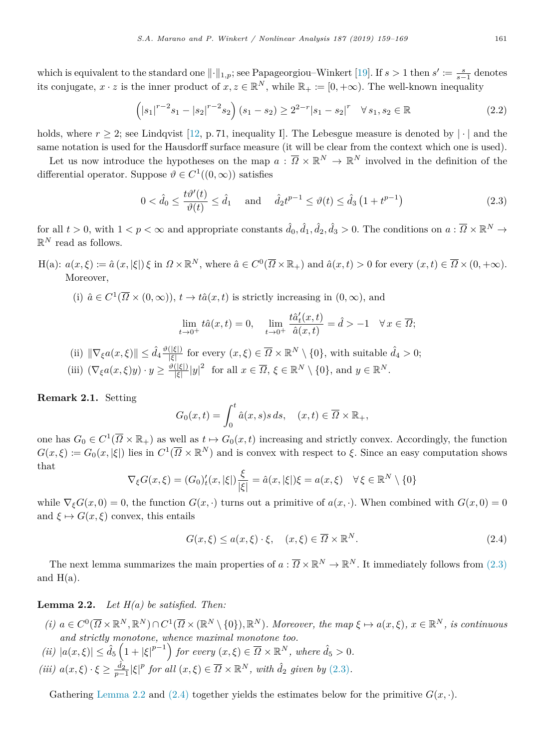which is equivalent to the standard one  $\|\cdot\|_{1,p}$ ; see Papageorgiou–Winkert [[19\]](#page-10-14). If  $s > 1$  then  $s' := \frac{s}{s-1}$  denotes its conjugate,  $x \cdot z$  is the inner product of  $x, z \in \mathbb{R}^N$ , while  $\mathbb{R}_+ := [0, +\infty)$ . The well-known inequality

<span id="page-2-3"></span>
$$
\left(|s_1|^{r-2}s_1 - |s_2|^{r-2}s_2\right)(s_1 - s_2) \ge 2^{2-r}|s_1 - s_2|^r \quad \forall \, s_1, s_2 \in \mathbb{R} \tag{2.2}
$$

holds, where  $r \geq 2$ ; see Lindqvist [[12,](#page-10-15) p. 71, inequality I]. The Lebesgue measure is denoted by  $|\cdot|$  and the same notation is used for the Hausdorff surface measure (it will be clear from the context which one is used).

Let us now introduce the hypotheses on the map  $a: \overline{\Omega} \times \mathbb{R}^N \to \mathbb{R}^N$  involved in the definition of the differential operator. Suppose  $\vartheta \in C^1((0,\infty))$  satisfies

$$
0 < \hat{d}_0 \le \frac{t\vartheta'(t)}{\vartheta(t)} \le \hat{d}_1 \quad \text{and} \quad \hat{d}_2 t^{p-1} \le \vartheta(t) \le \hat{d}_3 \left( 1 + t^{p-1} \right) \tag{2.3}
$$

for all  $t > 0$ , with  $1 < p < \infty$  and appropriate constants  $\hat{d}_0, \hat{d}_1, \hat{d}_2, \hat{d}_3 > 0$ . The conditions on  $a : \overline{\Omega} \times \mathbb{R}^N \to$  $\mathbb{R}^N$  read as follows.

 $H(a): a(x, \xi) := \hat{a}(x, |\xi|) \xi$  in  $\Omega \times \mathbb{R}^N$ , where  $\hat{a} \in C^0(\overline{\Omega} \times \mathbb{R}_+)$  and  $\hat{a}(x, t) > 0$  for every  $(x, t) \in \overline{\Omega} \times (0, +\infty)$ . Moreover,

(i)  $\hat{a} \in C^1(\overline{\Omega} \times (0,\infty))$ ,  $t \to t\hat{a}(x,t)$  is strictly increasing in  $(0,\infty)$ , and

<span id="page-2-0"></span>
$$
\lim_{t \to 0^+} t \hat{a}(x, t) = 0, \quad \lim_{t \to 0^+} \frac{t \hat{a}'_t(x, t)}{\hat{a}(x, t)} = \hat{d} > -1 \quad \forall x \in \overline{\Omega};
$$

 $(\text{ii}) \|\nabla_{\xi}a(x,\xi)\| \leq \hat{d}_4 \frac{\vartheta(|\xi|)}{|\xi|}$  $\frac{(|\xi|)}{|\xi|}$  for every  $(x,\xi) \in \overline{\Omega} \times \mathbb{R}^N \setminus \{0\}$ , with suitable  $\hat{d}_4 > 0$ ; (iii)  $(\nabla_{\xi}a(x,\xi)y)\cdot y \geq \frac{\vartheta(|\xi|)}{|\xi|}$  $\frac{(|\xi|)}{|\xi|}|y|^2$  for all  $x \in \overline{\Omega}$ ,  $\xi \in \mathbb{R}^N \setminus \{0\}$ , and  $y \in \mathbb{R}^N$ .

**Remark 2.1.** Setting

$$
G_0(x,t) = \int_0^t \hat{a}(x,s)s \, ds, \quad (x,t) \in \overline{\Omega} \times \mathbb{R}_+,
$$

one has  $G_0 \in C^1(\overline{\Omega} \times \mathbb{R}_+)$  as well as  $t \mapsto G_0(x,t)$  increasing and strictly convex. Accordingly, the function  $G(x,\xi) := G_0(x,|\xi|)$  lies in  $C^1(\overline{\Omega} \times \mathbb{R}^N)$  and is convex with respect to  $\xi$ . Since an easy computation shows that

$$
\nabla_{\xi} G(x,\xi) = (G_0)'_t(x,|\xi|) \frac{\xi}{|\xi|} = \hat{a}(x,|\xi|) \xi = a(x,\xi) \quad \forall \xi \in \mathbb{R}^N \setminus \{0\}
$$

while  $\nabla_{\xi}G(x,0) = 0$ , the function  $G(x, \cdot)$  turns out a primitive of  $a(x, \cdot)$ . When combined with  $G(x, 0) = 0$ and  $\xi \mapsto G(x,\xi)$  convex, this entails

<span id="page-2-2"></span>
$$
G(x,\xi) \le a(x,\xi) \cdot \xi, \quad (x,\xi) \in \overline{\Omega} \times \mathbb{R}^N. \tag{2.4}
$$

The next lemma summarizes the main properties of  $a: \overline{\Omega} \times \mathbb{R}^N \to \mathbb{R}^N$ . It immediately follows from ([2.3](#page-2-0)) and  $H(a)$ .

<span id="page-2-1"></span>**Lemma 2.2.** *Let H(a) be satisfied. Then:*

(i)  $a \in C^0(\overline{\Omega} \times \mathbb{R}^N, \mathbb{R}^N) \cap C^1(\overline{\Omega} \times (\mathbb{R}^N \setminus \{0\}), \mathbb{R}^N)$ . Moreover, the map  $\xi \mapsto a(x, \xi), x \in \mathbb{R}^N$ , is continuous *and strictly monotone, whence maximal monotone too.*

$$
(ii) |a(x,\xi)| \leq \hat{d}_5 \left(1 + |\xi|^{p-1}\right) \text{ for every } (x,\xi) \in \overline{\Omega} \times \mathbb{R}^N, \text{ where } \hat{d}_5 > 0.
$$

 $(iii)$   $a(x,\xi) \cdot \xi \geq \frac{\hat{d}_2}{p-1} |\xi|^p$  for all  $(x,\xi) \in \overline{\Omega} \times \mathbb{R}^N$ , with  $\hat{d}_2$  given by [\(2.3](#page-2-0)).

Gathering [Lemma](#page-2-1) [2.2](#page-2-1) and ([2.4\)](#page-2-2) together yields the estimates below for the primitive  $G(x, \cdot)$ .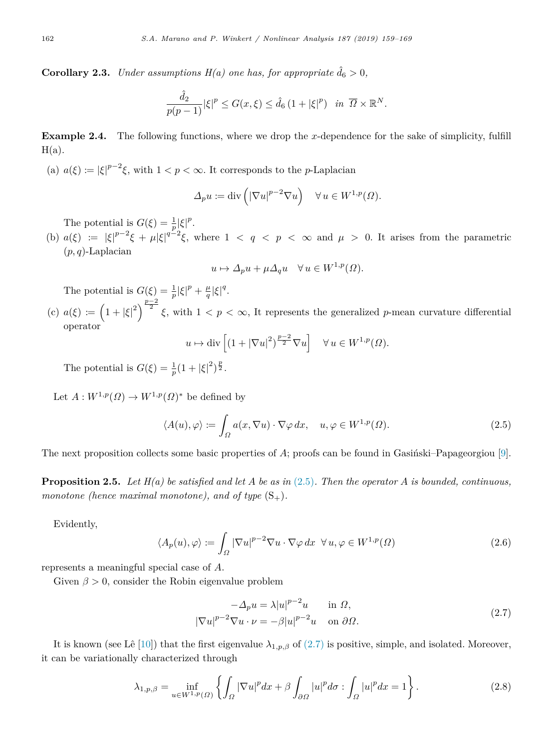**Corollary 2.3.** *Under assumptions H(a) one has, for appropriate*  $\hat{d}_6 > 0$ *,* 

$$
\frac{\hat{d}_2}{p(p-1)}|\xi|^p \le G(x,\xi) \le \hat{d}_6 (1+|\xi|^p) \quad \text{in } \overline{\Omega} \times \mathbb{R}^N.
$$

<span id="page-3-3"></span>**Example 2.4.** The following functions, where we drop the *x*-dependence for the sake of simplicity, fulfill  $H(a)$ .

(a)  $a(\xi) := |\xi|^{p-2}\xi$ , with  $1 < p < \infty$ . It corresponds to the *p*-Laplacian

$$
\Delta_p u := \text{div}\left( |\nabla u|^{p-2} \nabla u \right) \quad \forall \, u \in W^{1,p}(\Omega).
$$

The potential is  $G(\xi) = \frac{1}{p} |\xi|^p$ .

(b)  $a(\xi) := |\xi|^{p-2}\xi + \mu |\xi|^{q-2}\xi$ , where  $1 < q < p < \infty$  and  $\mu > 0$ . It arises from the parametric (*p, q*)-Laplacian

$$
u \mapsto \Delta_p u + \mu \Delta_q u \quad \forall u \in W^{1,p}(\Omega).
$$

The potential is  $G(\xi) = \frac{1}{p} |\xi|^p + \frac{\mu}{q} |\xi|^q$ .

(c)  $a(\xi) := \left(1 + |\xi|^2\right)^{\frac{p-2}{2}} \xi$ , with  $1 < p < \infty$ , It represents the generalized *p*-mean curvature differential operator

<span id="page-3-1"></span>
$$
u \mapsto \text{div}\left[\left(1 + |\nabla u|^2\right)^{\frac{p-2}{2}} \nabla u\right] \quad \forall u \in W^{1,p}(\Omega).
$$

The potential is  $G(\xi) = \frac{1}{p}(1 + |\xi|^2)^{\frac{p}{2}}$ .

Let  $A: W^{1,p}(\Omega) \to W^{1,p}(\Omega)^*$  be defined by

$$
\langle A(u), \varphi \rangle := \int_{\Omega} a(x, \nabla u) \cdot \nabla \varphi \, dx, \quad u, \varphi \in W^{1, p}(\Omega). \tag{2.5}
$$

The next proposition collects some basic properties of A; proofs can be found in Gasingski–Papageorgiou [[9\]](#page-10-16).

**Proposition 2.5.** *Let H(a) be satisfied and let A be as in* [\(2.5\)](#page-3-1)*. Then the operator A is bounded, continuous, monotone (hence maximal monotone), and of type*  $(S_+)$ *.* 

Evidently,

$$
\langle A_p(u), \varphi \rangle := \int_{\Omega} |\nabla u|^{p-2} \nabla u \cdot \nabla \varphi \, dx \ \forall u, \varphi \in W^{1,p}(\Omega)
$$
 (2.6)

represents a meaningful special case of *A*.

Given  $\beta > 0$ , consider the Robin eigenvalue problem

<span id="page-3-4"></span><span id="page-3-2"></span><span id="page-3-0"></span>
$$
-\Delta_p u = \lambda |u|^{p-2}u \quad \text{in } \Omega,
$$
  

$$
|\nabla u|^{p-2} \nabla u \cdot \nu = -\beta |u|^{p-2}u \quad \text{on } \partial \Omega.
$$
 (2.7)

It is known (see Lê [\[10](#page-10-17)]) that the first eigenvalue  $\lambda_{1,p,\beta}$  of [\(2.7\)](#page-3-0) is positive, simple, and isolated. Moreover, it can be variationally characterized through

$$
\lambda_{1,p,\beta} = \inf_{u \in W^{1,p}(\Omega)} \left\{ \int_{\Omega} |\nabla u|^p dx + \beta \int_{\partial \Omega} |u|^p d\sigma : \int_{\Omega} |u|^p dx = 1 \right\}.
$$
 (2.8)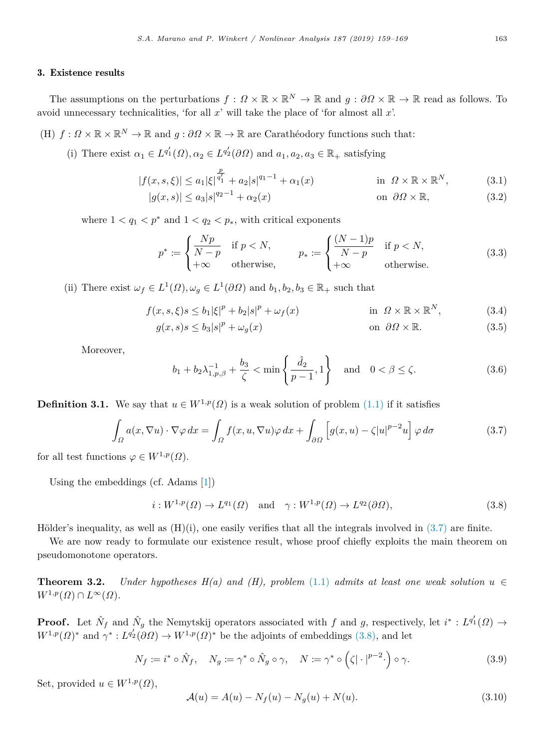### 3. Existence results

<span id="page-4-1"></span>The assumptions on the perturbations  $f: \Omega \times \mathbb{R} \times \mathbb{R}^N \to \mathbb{R}$  and  $g: \partial \Omega \times \mathbb{R} \to \mathbb{R}$  read as follows. To avoid unnecessary technicalities, 'for all *x*' will take the place of 'for almost all *x*'.

(H)  $f: \Omega \times \mathbb{R} \times \mathbb{R}^N \to \mathbb{R}$  and  $g: \partial \Omega \times \mathbb{R} \to \mathbb{R}$  are Carathéodory functions such that:

(i) There exist  $\alpha_1 \in L^{q'_1}(\Omega), \alpha_2 \in L^{q'_2}(\partial \Omega)$  and  $a_1, a_2, a_3 \in \mathbb{R}_+$  satisfying

$$
|f(x,s,\xi)| \le a_1 |\xi|^{\frac{p}{q_1'}} + a_2 |s|^{q_1 - 1} + \alpha_1(x)
$$
in  $\Omega \times \mathbb{R} \times \mathbb{R}^N$ , (3.1)  

$$
|g(x,s)| \le a_3 |s|^{q_2 - 1} + \alpha_2(x)
$$
on  $\partial \Omega \times \mathbb{R}$ , (3.2)

where  $1 < q_1 < p^*$  and  $1 < q_2 < p_*$ , with critical exponents

<span id="page-4-6"></span><span id="page-4-5"></span><span id="page-4-2"></span>
$$
p^* := \begin{cases} \frac{Np}{N-p} & \text{if } p < N, \\ +\infty & \text{otherwise,} \end{cases} \qquad p_* := \begin{cases} \frac{(N-1)p}{N-p} & \text{if } p < N, \\ +\infty & \text{otherwise.} \end{cases} \tag{3.3}
$$

(ii) There exist  $\omega_f \in L^1(\Omega), \omega_g \in L^1(\partial\Omega)$  and  $b_1, b_2, b_3 \in \mathbb{R}_+$  such that

$$
f(x, s, \xi)s \le b_1|\xi|^p + b_2|s|^p + \omega_f(x) \qquad \text{in } \Omega \times \mathbb{R} \times \mathbb{R}^N, \tag{3.4}
$$

$$
g(x,s)s \le b_3|s|^p + \omega_g(x) \qquad \text{on } \partial\Omega \times \mathbb{R}.\tag{3.5}
$$

Moreover,

<span id="page-4-8"></span><span id="page-4-7"></span><span id="page-4-3"></span><span id="page-4-0"></span>
$$
b_1 + b_2 \lambda_{1, p, \beta}^{-1} + \frac{b_3}{\zeta} < \min\left\{\frac{\hat{d}_2}{p-1}, 1\right\} \text{ and } 0 < \beta \le \zeta.
$$
 (3.6)

**Definition 3.1.** We say that  $u \in W^{1,p}(\Omega)$  is a weak solution of problem  $(1.1)$  if it satisfies

$$
\int_{\Omega} a(x, \nabla u) \cdot \nabla \varphi \, dx = \int_{\Omega} f(x, u, \nabla u) \varphi \, dx + \int_{\partial \Omega} \left[ g(x, u) - \zeta |u|^{p-2} u \right] \varphi \, d\sigma \tag{3.7}
$$

for all test functions  $\varphi \in W^{1,p}(\Omega)$ .

Using the embeddings (cf. Adams [[1\]](#page-10-18))

<span id="page-4-4"></span>
$$
i: W^{1,p}(\Omega) \to L^{q_1}(\Omega) \quad \text{and} \quad \gamma: W^{1,p}(\Omega) \to L^{q_2}(\partial \Omega), \tag{3.8}
$$

Hölder's inequality, as well as  $(H)(i)$ , one easily verifies that all the integrals involved in  $(3.7)$  $(3.7)$  are finite.

We are now ready to formulate our existence result, whose proof chiefly exploits the main theorem on pseudomonotone operators.

<span id="page-4-10"></span>**Theorem 3.2.** *Under hypotheses H(a) and (H), problem* [\(1.1](#page-0-4)) *admits at least one weak solution*  $u \in$  $W^{1,p}(\Omega) \cap L^{\infty}(\Omega)$ .

**Proof.** Let  $\hat{N}_f$  and  $\hat{N}_g$  the Nemytskij operators associated with f and g, respectively, let  $i^* : L^{q'_1}(\Omega) \to$  $W^{1,p}(\Omega)^*$  and  $\gamma^*: L^{q'_2}(\partial \Omega) \to W^{1,p}(\Omega)^*$  be the adjoints of embeddings [\(3.8\)](#page-4-4), and let

$$
N_f := i^* \circ \hat{N}_f, \quad N_g := \gamma^* \circ \hat{N}_g \circ \gamma, \quad N := \gamma^* \circ \left(\zeta | \cdot |^{p-2} \cdot \right) \circ \gamma. \tag{3.9}
$$

Set, provided  $u \in W^{1,p}(\Omega)$ ,

<span id="page-4-11"></span><span id="page-4-9"></span>
$$
\mathcal{A}(u) = A(u) - N_f(u) - N_g(u) + N(u). \tag{3.10}
$$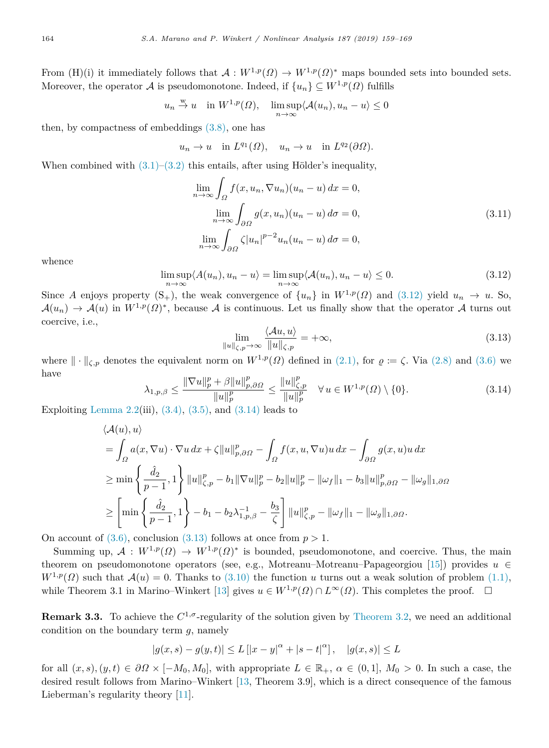From (H)(i) it immediately follows that  $A: W^{1,p}(\Omega) \to W^{1,p}(\Omega)^*$  maps bounded sets into bounded sets. Moreover, the operator A is pseudomonotone. Indeed, if  $\{u_n\} \subset W^{1,p}(\Omega)$  fulfills

$$
u_n \stackrel{w}{\rightarrow} u
$$
 in  $W^{1,p}(\Omega)$ ,  $\limsup_{n \to \infty} \langle A(u_n), u_n - u \rangle \le 0$ 

then, by compactness of embeddings ([3.8](#page-4-4)), one has

$$
u_n \to u
$$
 in  $L^{q_1}(\Omega)$ ,  $u_n \to u$  in  $L^{q_2}(\partial\Omega)$ .

When combined with  $(3.1)$ – $(3.2)$  $(3.2)$  $(3.2)$  this entails, after using Hölder's inequality,

$$
\lim_{n \to \infty} \int_{\Omega} f(x, u_n, \nabla u_n)(u_n - u) dx = 0,
$$
  
\n
$$
\lim_{n \to \infty} \int_{\partial \Omega} g(x, u_n)(u_n - u) d\sigma = 0,
$$
  
\n
$$
\lim_{n \to \infty} \int_{\partial \Omega} \zeta |u_n|^{p-2} u_n(u_n - u) d\sigma = 0,
$$
\n(3.11)

whence

$$
\limsup_{n \to \infty} \langle A(u_n), u_n - u \rangle = \limsup_{n \to \infty} \langle A(u_n), u_n - u \rangle \le 0.
$$
\n(3.12)

Since *A* enjoys property  $(S_+)$ , the weak convergence of  $\{u_n\}$  in  $W^{1,p}(\Omega)$  and  $(3.12)$  yield  $u_n \to u$ . So,  $\mathcal{A}(u_n) \to \mathcal{A}(u)$  in  $W^{1,p}(\Omega)^*$ , because A is continuous. Let us finally show that the operator A turns out coercive, i.e.,

<span id="page-5-3"></span><span id="page-5-2"></span><span id="page-5-1"></span><span id="page-5-0"></span>
$$
\lim_{\|u\|_{\zeta,p}\to\infty} \frac{\langle Au, u\rangle}{\|u\|_{\zeta,p}} = +\infty,
$$
\n(3.13)

where  $\|\cdot\|_{\zeta,p}$  denotes the equivalent norm on  $W^{1,p}(\Omega)$  defined in ([2.1](#page-1-3)), for  $\varrho := \zeta$ . Via ([2.8\)](#page-3-2) and ([3.6](#page-4-0)) we have *p*  $\rho$ <sub>p</sub>  $\rho$   $p$ *p*

$$
\lambda_{1,p,\beta} \le \frac{\|\nabla u\|_p^p + \beta \|u\|_{p,\partial\Omega}^p}{\|u\|_p^p} \le \frac{\|u\|_{\mathcal{L},p}^p}{\|u\|_p^p} \quad \forall u \in W^{1,p}(\Omega) \setminus \{0\}.
$$
\n(3.14)

Exploiting [Lemma](#page-2-1) [2.2\(](#page-2-1)iii),  $(3.4)$  $(3.4)$ ,  $(3.5)$  $(3.5)$  $(3.5)$ , and  $(3.14)$  leads to

$$
\langle \mathcal{A}(u), u \rangle
$$
  
=  $\int_{\Omega} a(x, \nabla u) \cdot \nabla u \, dx + \zeta ||u||_{p, \partial \Omega}^p - \int_{\Omega} f(x, u, \nabla u) u \, dx - \int_{\partial \Omega} g(x, u) u \, dx$   

$$
\ge \min \left\{ \frac{\hat{d}_2}{p-1}, 1 \right\} ||u||_{\zeta, p}^p - b_1 ||\nabla u||_p^p - b_2 ||u||_p^p - ||\omega_f||_1 - b_3 ||u||_{p, \partial \Omega}^p - ||\omega_g||_{1, \partial \Omega}
$$
  

$$
\ge \left[ \min \left\{ \frac{\hat{d}_2}{p-1}, 1 \right\} - b_1 - b_2 \lambda_{1, p, \beta}^{-1} - \frac{b_3}{\zeta} \right] ||u||_{\zeta, p}^p - ||\omega_f||_1 - ||\omega_g||_{1, \partial \Omega}.
$$

On account of  $(3.6)$  $(3.6)$  $(3.6)$ , conclusion  $(3.13)$  $(3.13)$  $(3.13)$  follows at once from  $p > 1$ .

Summing up,  $A: W^{1,p}(\Omega) \to W^{1,p}(\Omega)^*$  is bounded, pseudomonotone, and coercive. Thus, the main theorem on pseudomonotone operators (see, e.g., Motreanu–Motreanu–Papageorgiou [[15\]](#page-10-19)) provides *u* ∈  $W^{1,p}(\Omega)$  such that  $\mathcal{A}(u) = 0$ . Thanks to [\(3.10\)](#page-4-9) the function *u* turns out a weak solution of problem ([1.1\)](#page-0-4), while Theorem 3.1 in Marino–Winkert [[13\]](#page-10-20) gives  $u \in W^{1,p}(\Omega) \cap L^{\infty}(\Omega)$ . This completes the proof.  $\square$ 

**Remark 3.3.** To achieve the  $C^{1,\sigma}$ -regularity of the solution given by [Theorem](#page-4-10) [3.2](#page-4-10), we need an additional condition on the boundary term *g*, namely

$$
|g(x, s) - g(y, t)| \le L [|x - y|^{\alpha} + |s - t|^{\alpha}], \quad |g(x, s)| \le L
$$

for all  $(x, s), (y, t) \in \partial \Omega \times [-M_0, M_0]$ , with appropriate  $L \in \mathbb{R}_+$ ,  $\alpha \in (0, 1]$ ,  $M_0 > 0$ . In such a case, the desired result follows from Marino–Winkert [[13,](#page-10-20) Theorem 3.9], which is a direct consequence of the famous Lieberman's regularity theory [[11\]](#page-10-21).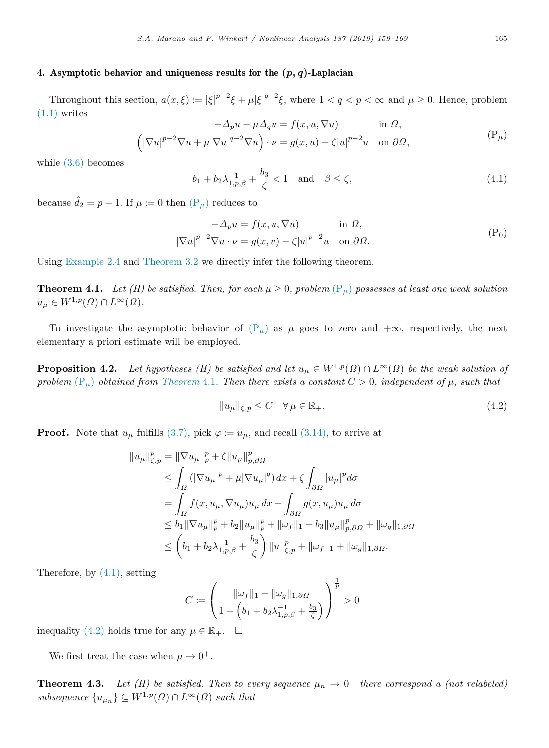## 4. Asymptotic behavior and uniqueness results for the  $(p, q)$ -Laplacian

Throughout this section,  $a(x,\xi) := |\xi|^{p-2}\xi + \mu |\xi|^{q-2}\xi$ , where  $1 < q < p < \infty$  and  $\mu \ge 0$ . Hence, problem  $(1.1)$  $(1.1)$  writes

$$
-\Delta_p u - \mu \Delta_q u = f(x, u, \nabla u) \quad \text{in } \Omega,
$$
  

$$
(\left|\nabla u\right|^{p-2} \nabla u + \mu \left|\nabla u\right|^{q-2} \nabla u) \cdot \nu = g(x, u) - \zeta |u|^{p-2} u \quad \text{on } \partial \Omega,
$$
 (P<sub>μ</sub>)

while ([3.6\)](#page-4-0) becomes

<span id="page-6-4"></span><span id="page-6-2"></span><span id="page-6-0"></span>
$$
b_1 + b_2 \lambda_{1,p,\beta}^{-1} + \frac{b_3}{\zeta} < 1
$$
 and  $\beta \le \zeta$ , (4.1)

because  $\hat{d}_2 = p - 1$ . If  $\mu := 0$  then  $(P_\mu)$  $(P_\mu)$  reduces to

<span id="page-6-1"></span>
$$
-\Delta_p u = f(x, u, \nabla u) \quad \text{in } \Omega,
$$
  

$$
|\nabla u|^{p-2} \nabla u \cdot \nu = g(x, u) - \zeta |u|^{p-2} u \quad \text{on } \partial \Omega.
$$
 (P<sub>0</sub>)

Using [Example](#page-3-3) [2.4](#page-3-3) and [Theorem](#page-4-10) [3.2](#page-4-10) we directly infer the following theorem.

**Theorem 4.1.** *Let* (*H*) be satisfied. Then, for each  $\mu \geq 0$ , problem  $(P_{\mu})$  $(P_{\mu})$  $(P_{\mu})$  possesses at least one weak solution  $u_{\mu} \in W^{1,p}(\Omega) \cap L^{\infty}(\Omega)$ .

To investigate the asymptotic behavior of  $(P_\mu)$  $(P_\mu)$  as  $\mu$  goes to zero and  $+\infty$ , respectively, the next elementary a priori estimate will be employed.

**Proposition 4.2.** *Let hypotheses (H) be satisfied and let*  $u_{\mu} \in W^{1,p}(\Omega) \cap L^{\infty}(\Omega)$  *be the weak solution of problem*  $(P_\mu)$  $(P_\mu)$  $(P_\mu)$  *obtained from [Theorem](#page-6-1)* [4.1](#page-6-1)*. Then there exists a constant*  $C > 0$ *, independent of*  $\mu$ *, such that* 

<span id="page-6-5"></span><span id="page-6-3"></span>
$$
||u_{\mu}||_{\zeta,p} \le C \quad \forall \mu \in \mathbb{R}_{+}.
$$
\n(4.2)

**Proof.** Note that  $u_{\mu}$  fulfills [\(3.7\)](#page-4-3), pick  $\varphi := u_{\mu}$ , and recall ([3.14\)](#page-5-1), to arrive at

$$
||u_{\mu}||_{\zeta,p}^{p} = ||\nabla u_{\mu}||_{p}^{p} + \zeta ||u_{\mu}||_{p,\partial\Omega}^{p}
$$
  
\n
$$
\leq \int_{\Omega} (|\nabla u_{\mu}|^{p} + \mu |\nabla u_{\mu}|^{q}) dx + \zeta \int_{\partial\Omega} |u_{\mu}|^{p} d\sigma
$$
  
\n
$$
= \int_{\Omega} f(x, u_{\mu}, \nabla u_{\mu}) u_{\mu} dx + \int_{\partial\Omega} g(x, u_{\mu}) u_{\mu} d\sigma
$$
  
\n
$$
\leq b_{1} ||\nabla u_{\mu}||_{p}^{p} + b_{2} ||u_{\mu}||_{p}^{p} + ||\omega_{f}||_{1} + b_{3} ||u_{\mu}||_{p,\partial\Omega}^{p} + ||\omega_{g}||_{1,\partial\Omega}
$$
  
\n
$$
\leq (b_{1} + b_{2}\lambda_{1,p,\beta}^{-1} + \frac{b_{3}}{\zeta}) ||u||_{\zeta,p}^{p} + ||\omega_{f}||_{1} + ||\omega_{g}||_{1,\partial\Omega}.
$$

Therefore, by ([4.1](#page-6-2)), setting

$$
C:=\left(\frac{\|\omega_f\|_1+\|\omega_g\|_{1,\partial\varOmega}}{1-\left(b_1+b_2\lambda_{1,p,\beta}^{-1}+\frac{b_3}{\zeta}\right)}\right)^{\frac{1}{p}}>0
$$

inequality ([4.2\)](#page-6-3) holds true for any  $\mu \in \mathbb{R}_+$ .  $\Box$ 

<span id="page-6-6"></span>We first treat the case when  $\mu \to 0^+$ .

**Theorem 4.3.** Let (H) be satisfied. Then to every sequence  $\mu_n \to 0^+$  there correspond a (not relabeled)  $subsequence \{u_{\mu_n}\} \subseteq W^{1,p}(\Omega) \cap L^{\infty}(\Omega)$  *such that*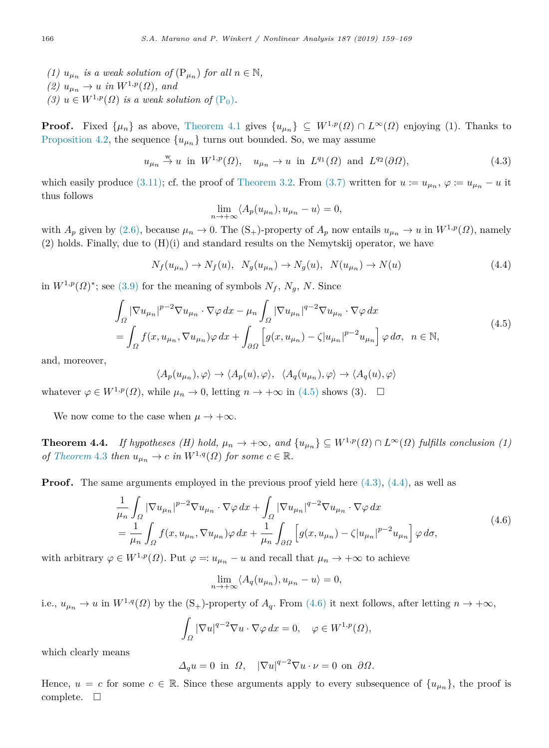- (1)  $u_{\mu_n}$  *is a weak solution of*  $(P_{\mu_n})$  *for all*  $n \in \mathbb{N}$ *,*
- $(2)$   $u_{\mu_n} \to u$  *in*  $W^{1,p}(\Omega)$ *, and*
- *(3)*  $u \in W^{1,p}(\Omega)$  *is a weak solution of*  $(P_0)$  $(P_0)$ *.*

**Proof.** Fixed  $\{\mu_n\}$  as above, [Theorem](#page-6-1) [4.1](#page-6-1) gives  $\{u_{\mu_n}\}\subseteq W^{1,p}(\Omega)\cap L^{\infty}(\Omega)$  enjoying (1). Thanks to [Proposition](#page-6-5) [4.2](#page-6-5), the sequence  ${u_{\mu_n}}$  turns out bounded. So, we may assume

$$
u_{\mu_n} \stackrel{\text{w}}{\rightarrow} u
$$
 in  $W^{1,p}(\Omega)$ ,  $u_{\mu_n} \rightarrow u$  in  $L^{q_1}(\Omega)$  and  $L^{q_2}(\partial\Omega)$ ,  $(4.3)$ 

which easily produce [\(3.11\)](#page-5-3); cf. the proof of [Theorem](#page-4-10) [3.2.](#page-4-10) From ([3.7\)](#page-4-3) written for  $u := u_{\mu_n}, \varphi := u_{\mu_n} - u$  it thus follows

<span id="page-7-2"></span><span id="page-7-1"></span><span id="page-7-0"></span>
$$
\lim_{n \to +\infty} \langle A_p(u_{\mu_n}), u_{\mu_n} - u \rangle = 0,
$$

with  $A_p$  given by ([2.6\)](#page-3-4), because  $\mu_n \to 0$ . The (S<sub>+</sub>)-property of  $A_p$  now entails  $u_{\mu_n} \to u$  in  $W^{1,p}(\Omega)$ , namely (2) holds. Finally, due to (H)(i) and standard results on the Nemytskij operator, we have

$$
N_f(u_{\mu_n}) \to N_f(u), \ N_g(u_{\mu_n}) \to N_g(u), \ N(u_{\mu_n}) \to N(u)
$$
\n(4.4)

in  $W^{1,p}(\Omega)^*$ ; see ([3.9\)](#page-4-11) for the meaning of symbols  $N_f$ ,  $N_g$ , N. Since

$$
\int_{\Omega} |\nabla u_{\mu_n}|^{p-2} \nabla u_{\mu_n} \cdot \nabla \varphi \, dx - \mu_n \int_{\Omega} |\nabla u_{\mu_n}|^{q-2} \nabla u_{\mu_n} \cdot \nabla \varphi \, dx
$$
\n
$$
= \int_{\Omega} f(x, u_{\mu_n}, \nabla u_{\mu_n}) \varphi \, dx + \int_{\partial \Omega} \left[ g(x, u_{\mu_n}) - \zeta |u_{\mu_n}|^{p-2} u_{\mu_n} \right] \varphi \, d\sigma, \quad n \in \mathbb{N},
$$
\n(4.5)

and, moreover,

<span id="page-7-4"></span>
$$
\langle A_p(u_{\mu_n}), \varphi \rangle \to \langle A_p(u), \varphi \rangle, \ \ \langle A_q(u_{\mu_n}), \varphi \rangle \to \langle A_q(u), \varphi \rangle
$$

whatever  $\varphi \in W^{1,p}(\Omega)$ , while  $\mu_n \to 0$ , letting  $n \to +\infty$  in ([4.5](#page-7-0)) shows (3).  $\Box$ 

We now come to the case when  $\mu \to +\infty$ .

**Theorem 4.4.** *If hypotheses (H) hold,*  $\mu_n \to +\infty$ *, and*  $\{u_{\mu_n}\}\subseteq W^{1,p}(\Omega) \cap L^{\infty}(\Omega)$  *fulfills conclusion (1) of [Theorem](#page-6-6)* [4.3](#page-6-6) *then*  $u_{\mu_n} \to c$  *in*  $W^{1,q}(\Omega)$  *for some*  $c \in \mathbb{R}$ *.* 

**Proof.** The same arguments employed in the previous proof yield here  $(4.3)$  $(4.3)$ ,  $(4.4)$ , as well as

$$
\frac{1}{\mu_n} \int_{\Omega} |\nabla u_{\mu_n}|^{p-2} \nabla u_{\mu_n} \cdot \nabla \varphi \, dx + \int_{\Omega} |\nabla u_{\mu_n}|^{q-2} \nabla u_{\mu_n} \cdot \nabla \varphi \, dx \n= \frac{1}{\mu_n} \int_{\Omega} f(x, u_{\mu_n}, \nabla u_{\mu_n}) \varphi \, dx + \frac{1}{\mu_n} \int_{\partial \Omega} \left[ g(x, u_{\mu_n}) - \zeta |u_{\mu_n}|^{p-2} u_{\mu_n} \right] \varphi \, d\sigma,
$$
\n(4.6)

with arbitrary  $\varphi \in W^{1,p}(\Omega)$ . Put  $\varphi =: u_{\mu_n} - u$  and recall that  $\mu_n \to +\infty$  to achieve

<span id="page-7-3"></span>
$$
\lim_{n \to +\infty} \langle A_q(u_{\mu_n}), u_{\mu_n} - u \rangle = 0,
$$

i.e.,  $u_{\mu_n} \to u$  in  $W^{1,q}(\Omega)$  by the  $(S_+)$ -property of  $A_q$ . From [\(4.6\)](#page-7-3) it next follows, after letting  $n \to +\infty$ ,

$$
\int_{\Omega} |\nabla u|^{q-2} \nabla u \cdot \nabla \varphi \, dx = 0, \quad \varphi \in W^{1,p}(\Omega),
$$

which clearly means

$$
\Delta_q u = 0 \text{ in } \Omega, \quad |\nabla u|^{q-2} \nabla u \cdot \nu = 0 \text{ on } \partial \Omega.
$$

Hence,  $u = c$  for some  $c \in \mathbb{R}$ . Since these arguments apply to every subsequence of  $\{u_{\mu_n}\}\$ , the proof is complete.  $\square$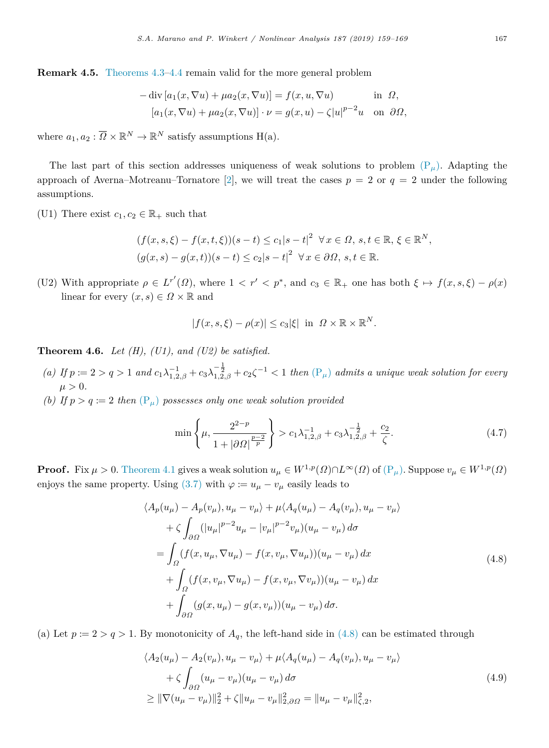**Remark 4.5.** [Theorems](#page-6-6) [4.3](#page-6-6)[–4.4](#page-7-4) remain valid for the more general problem

$$
-\operatorname{div}\left[a_1(x,\nabla u) + \mu a_2(x,\nabla u)\right] = f(x,u,\nabla u) \quad \text{in } \Omega,
$$
  

$$
\left[a_1(x,\nabla u) + \mu a_2(x,\nabla u)\right] \cdot \nu = g(x,u) - \zeta |u|^{p-2}u \quad \text{on } \partial\Omega,
$$

where  $a_1, a_2 : \overline{\Omega} \times \mathbb{R}^N \to \mathbb{R}^N$  satisfy assumptions H(a).

The last part of this section addresses uniqueness of weak solutions to problem  $(P_\mu)$  $(P_\mu)$ . Adapting the approach of Averna–Motreanu–Tornatore [[2\]](#page-10-0), we will treat the cases  $p = 2$  or  $q = 2$  under the following assumptions.

(U1) There exist  $c_1, c_2 \in \mathbb{R}_+$  such that

$$
(f(x, s, \xi) - f(x, t, \xi))(s - t) \le c_1|s - t|^2 \quad \forall x \in \Omega, s, t \in \mathbb{R}, \xi \in \mathbb{R}^N,
$$
  

$$
(g(x, s) - g(x, t))(s - t) \le c_2|s - t|^2 \quad \forall x \in \partial\Omega, s, t \in \mathbb{R}.
$$

(U2) With appropriate  $\rho \in L^{r'}(\Omega)$ , where  $1 \lt r' \lt p^*$ , and  $c_3 \in \mathbb{R}_+$  one has both  $\xi \mapsto f(x, s, \xi) - \rho(x)$ linear for every  $(x, s) \in \Omega \times \mathbb{R}$  and

<span id="page-8-1"></span>
$$
|f(x, s, \xi) - \rho(x)| \le c_3 |\xi| \text{ in } \Omega \times \mathbb{R} \times \mathbb{R}^N.
$$

**Theorem 4.6.** *Let (H), (U1), and (U2) be satisfied.*

- (a) If  $p := 2 > q > 1$  and  $c_1 \lambda_{1,2,\beta}^{-1} + c_3 \lambda_{1,2,\beta}^{-\frac{1}{2}} + c_2 \zeta^{-1} < 1$  then  $(\mathbb{P}_{\mu})$  $(\mathbb{P}_{\mu})$  $(\mathbb{P}_{\mu})$  admits a unique weak solution for every  $\mu > 0$ .
- *(b)* If  $p > q := 2$  then  $(P_{\mu})$  $(P_{\mu})$  $(P_{\mu})$  possesses only one weak solution provided

<span id="page-8-0"></span>
$$
\min\left\{\mu, \frac{2^{2-p}}{1+|\partial\Omega|^{\frac{p-2}{p}}}\right\} > c_1\lambda_{1,2,\beta}^{-1} + c_3\lambda_{1,2,\beta}^{-\frac{1}{2}} + \frac{c_2}{\zeta}.\tag{4.7}
$$

**[P](#page-6-0)roof.** Fix  $\mu > 0$ . [Theorem](#page-6-1) [4.1](#page-6-1) gives a weak solution  $u_{\mu} \in W^{1,p}(\Omega) \cap L^{\infty}(\Omega)$  of  $(P_{\mu})$ . Suppose  $v_{\mu} \in W^{1,p}(\Omega)$ enjoys the same property. Using ([3.7\)](#page-4-3) with  $\varphi := u_{\mu} - v_{\mu}$  easily leads to

$$
\langle A_p(u_\mu) - A_p(v_\mu), u_\mu - v_\mu \rangle + \mu \langle A_q(u_\mu) - A_q(v_\mu), u_\mu - v_\mu \rangle + \zeta \int_{\partial \Omega} (|u_\mu|^{p-2} u_\mu - |v_\mu|^{p-2} v_\mu) (u_\mu - v_\mu) d\sigma = \int_{\Omega} (f(x, u_\mu, \nabla u_\mu) - f(x, v_\mu, \nabla u_\mu)) (u_\mu - v_\mu) dx + \int_{\Omega} (f(x, v_\mu, \nabla u_\mu) - f(x, v_\mu, \nabla v_\mu)) (u_\mu - v_\mu) dx + \int_{\partial \Omega} (g(x, u_\mu) - g(x, v_\mu)) (u_\mu - v_\mu) d\sigma.
$$
 (4.8)

(a) Let  $p := 2 > q > 1$ . By monotonicity of  $A_q$ , the left-hand side in ([4.8\)](#page-8-0) can be estimated through

$$
\langle A_2(u_\mu) - A_2(v_\mu), u_\mu - v_\mu \rangle + \mu \langle A_q(u_\mu) - A_q(v_\mu), u_\mu - v_\mu \rangle + \zeta \int_{\partial \Omega} (u_\mu - v_\mu)(u_\mu - v_\mu) d\sigma \geq \|\nabla (u_\mu - v_\mu)\|_2^2 + \zeta \|u_\mu - v_\mu\|_{2, \partial \Omega}^2 = \|u_\mu - v_\mu\|_{\zeta, 2}^2,
$$
\n(4.9)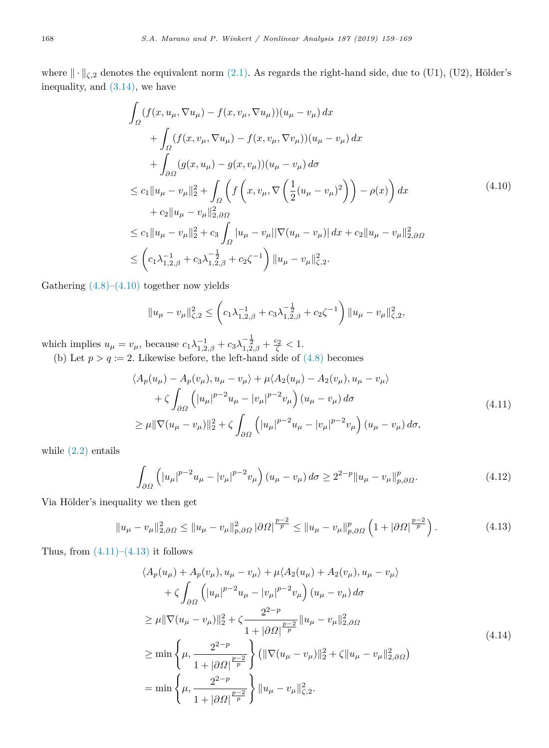where  $\|\cdot\|_{\zeta,2}$  denotes the equivalent norm ([2.1\)](#page-1-3). As regards the right-hand side, due to (U1), (U2), Hölder's inequality, and [\(3.14](#page-5-1)), we have

$$
\int_{\Omega} (f(x, u_{\mu}, \nabla u_{\mu}) - f(x, v_{\mu}, \nabla u_{\mu})) (u_{\mu} - v_{\mu}) dx \n+ \int_{\Omega} (f(x, v_{\mu}, \nabla u_{\mu}) - f(x, v_{\mu}, \nabla v_{\mu})) (u_{\mu} - v_{\mu}) dx \n+ \int_{\partial\Omega} (g(x, u_{\mu}) - g(x, v_{\mu})) (u_{\mu} - v_{\mu}) d\sigma \n\leq c_1 \|u_{\mu} - v_{\mu}\|_2^2 + \int_{\Omega} \left( f\left(x, v_{\mu}, \nabla \left(\frac{1}{2}(u_{\mu} - v_{\mu})^2\right)\right) - \rho(x) \right) dx \n+ c_2 \|u_{\mu} - v_{\mu}\|_{2, \partial\Omega}^2 \n\leq c_1 \|u_{\mu} - v_{\mu}\|_2^2 + c_3 \int_{\Omega} |u_{\mu} - v_{\mu}||\nabla(u_{\mu} - v_{\mu})| dx + c_2 \|u_{\mu} - v_{\mu}\|_{2, \partial\Omega}^2 \n\leq \left(c_1 \lambda_{1,2,\beta}^{-1} + c_3 \lambda_{1,2,\beta}^{-\frac{1}{2}} + c_2 \zeta^{-1}\right) \|u_{\mu} - v_{\mu}\|_{\zeta,2}^2.
$$
\n
$$
(4.10)
$$

Gathering  $(4.8)$ – $(4.10)$  $(4.10)$  $(4.10)$  together now yields

<span id="page-9-1"></span><span id="page-9-0"></span>
$$
||u_{\mu} - v_{\mu}||_{\zeta,2}^2 \le \left(c_1 \lambda_{1,2,\beta}^{-1} + c_3 \lambda_{1,2,\beta}^{-\frac{1}{2}} + c_2 \zeta^{-1}\right) ||u_{\mu} - v_{\mu}||_{\zeta,2}^2,
$$

which implies  $u_{\mu} = v_{\mu}$ , because  $c_1 \lambda_{1,2,\beta}^{-1} + c_3 \lambda_{1,2,\beta}^{-\frac{1}{2}} + \frac{c_2}{\zeta} < 1$ .

(b) Let  $p > q := 2$ . Likewise before, the left-hand side of  $(4.8)$  $(4.8)$  $(4.8)$  becomes

$$
\langle A_p(u_\mu) - A_p(v_\mu), u_\mu - v_\mu \rangle + \mu \langle A_2(u_\mu) - A_2(v_\mu), u_\mu - v_\mu \rangle + \zeta \int_{\partial \Omega} \left( |u_\mu|^{p-2} u_\mu - |v_\mu|^{p-2} v_\mu \right) (u_\mu - v_\mu) d\sigma \geq \mu ||\nabla (u_\mu - v_\mu)||_2^2 + \zeta \int_{\partial \Omega} \left( |u_\mu|^{p-2} u_\mu - |v_\mu|^{p-2} v_\mu \right) (u_\mu - v_\mu) d\sigma,
$$
\n(4.11)

while  $(2.2)$  $(2.2)$  entails

$$
\int_{\partial\Omega} \left( |u_{\mu}|^{p-2} u_{\mu} - |v_{\mu}|^{p-2} v_{\mu} \right) (u_{\mu} - v_{\mu}) d\sigma \ge 2^{2-p} \|u_{\mu} - v_{\mu}\|_{p,\partial\Omega}^p. \tag{4.12}
$$

Via Hölder's inequality we then get

$$
||u_{\mu} - v_{\mu}||_{2,\partial\Omega}^{2} \le ||u_{\mu} - v_{\mu}||_{p,\partial\Omega}^{2} |\partial\Omega|^{\frac{p-2}{p}} \le ||u_{\mu} - v_{\mu}||_{p,\partial\Omega}^{p} \left(1 + |\partial\Omega|^{\frac{p-2}{p}}\right). \tag{4.13}
$$

Thus, from  $(4.11)$  $(4.11)$  $(4.11)$ – $(4.13)$  $(4.13)$  it follows

<span id="page-9-3"></span><span id="page-9-2"></span>
$$
\langle A_p(u_\mu) + A_p(v_\mu), u_\mu - v_\mu \rangle + \mu \langle A_2(u_\mu) + A_2(v_\mu), u_\mu - v_\mu \rangle + \zeta \int_{\partial \Omega} \left( |u_\mu|^{p-2} u_\mu - |v_\mu|^{p-2} v_\mu \right) (u_\mu - v_\mu) d\sigma \geq \mu ||\nabla (u_\mu - v_\mu)||_2^2 + \zeta \frac{2^{2-p}}{1 + |\partial \Omega| \frac{p-2}{p}} ||u_\mu - v_\mu||_{2, \partial \Omega}^2 \geq \min \left\{ \mu, \frac{2^{2-p}}{1 + |\partial \Omega| \frac{p-2}{p}} \right\} (||\nabla (u_\mu - v_\mu)||_2^2 + \zeta ||u_\mu - v_\mu||_{2, \partial \Omega}^2) = \min \left\{ \mu, \frac{2^{2-p}}{1 + |\partial \Omega| \frac{p-2}{p}} \right\} ||u_\mu - v_\mu||_{\zeta, 2}^2.
$$
\n(4.14)